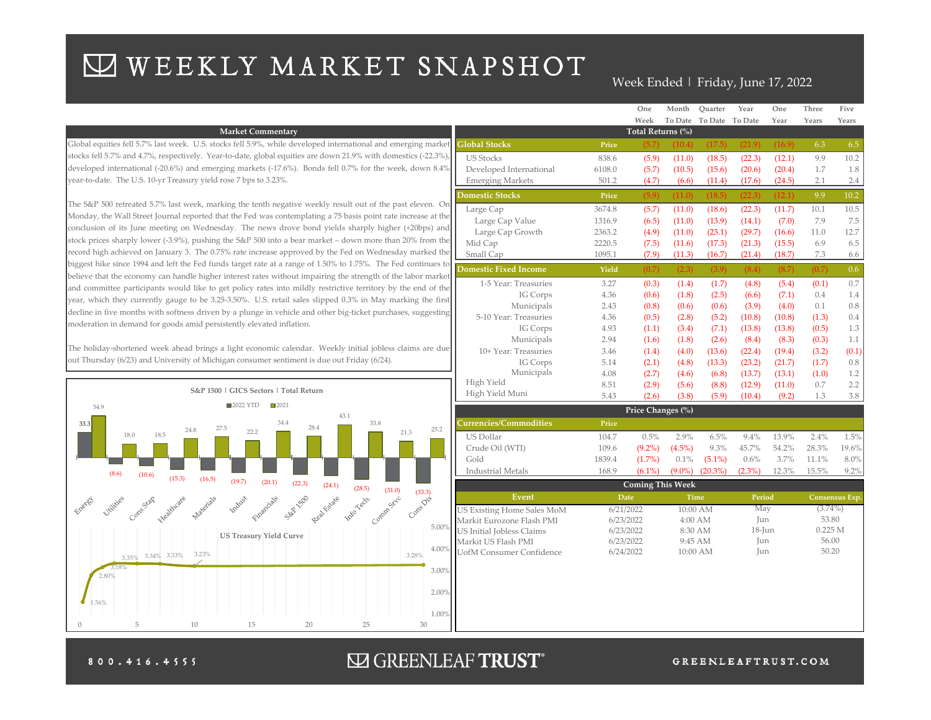# WEEKLY MARKET SNAPSHOT

### Week Ended | Friday, June 17, 2022

| Week<br>To Date<br>To Date<br>To Date<br>Year<br>Years<br>Total Returns (%)<br><b>Market Commentary</b><br>Global equities fell 5.7% last week. U.S. stocks fell 5.9%, while developed international and emerging market<br><b>Global Stocks</b><br>(10.4)<br>(17.5)<br>(21.9)<br>(16.9)<br>6.3<br>Price<br>(5.7)<br>stocks fell 5.7% and 4.7%, respectively. Year-to-date, global equities are down 21.9% with domestics (-22.3%),<br><b>US Stocks</b><br>(11.0)<br>(18.5)<br>(22.3)<br>9.9<br>838.6<br>(5.9)<br>(12.1)<br>developed international (-20.6%) and emerging markets (-17.6%). Bonds fell 0.7% for the week, down 8.4%<br>Developed International<br>(15.6)<br>(20.6)<br>(20.4)<br>1.7<br>6108.0<br>(5.7)<br>(10.5)<br>year-to-date. The U.S. 10-yr Treasury yield rose 7 bps to 3.23%.<br><b>Emerging Markets</b><br>(11.4)<br>(17.6)<br>(24.5)<br>2.1<br>501.2<br>(4.7)<br>(6.6)<br>9.9<br><b>Domestic Stocks</b><br>(5.9)<br>(11.0)<br>(18.5)<br>(22.3)<br>(12.1)<br>Price<br>The S&P 500 retreated 5.7% last week, marking the tenth negative weekly result out of the past eleven. On<br>(11.0)<br>(18.6)<br>(22.3)<br>(11.7)<br>10.1<br>Large Cap<br>3674.8<br>(5.7)<br>Monday, the Wall Street Journal reported that the Fed was contemplating a 75 basis point rate increase at the<br>Large Cap Value<br>(13.9)<br>7.9<br>1316.9<br>(6.5)<br>(11.0)<br>(14.1)<br>(7.0) | Years<br>1.8<br>2.4     |
|----------------------------------------------------------------------------------------------------------------------------------------------------------------------------------------------------------------------------------------------------------------------------------------------------------------------------------------------------------------------------------------------------------------------------------------------------------------------------------------------------------------------------------------------------------------------------------------------------------------------------------------------------------------------------------------------------------------------------------------------------------------------------------------------------------------------------------------------------------------------------------------------------------------------------------------------------------------------------------------------------------------------------------------------------------------------------------------------------------------------------------------------------------------------------------------------------------------------------------------------------------------------------------------------------------------------------------------------------------------------------------------------|-------------------------|
|                                                                                                                                                                                                                                                                                                                                                                                                                                                                                                                                                                                                                                                                                                                                                                                                                                                                                                                                                                                                                                                                                                                                                                                                                                                                                                                                                                                              |                         |
|                                                                                                                                                                                                                                                                                                                                                                                                                                                                                                                                                                                                                                                                                                                                                                                                                                                                                                                                                                                                                                                                                                                                                                                                                                                                                                                                                                                              | 6.5<br>10.2<br>$10.2\,$ |
|                                                                                                                                                                                                                                                                                                                                                                                                                                                                                                                                                                                                                                                                                                                                                                                                                                                                                                                                                                                                                                                                                                                                                                                                                                                                                                                                                                                              |                         |
|                                                                                                                                                                                                                                                                                                                                                                                                                                                                                                                                                                                                                                                                                                                                                                                                                                                                                                                                                                                                                                                                                                                                                                                                                                                                                                                                                                                              |                         |
|                                                                                                                                                                                                                                                                                                                                                                                                                                                                                                                                                                                                                                                                                                                                                                                                                                                                                                                                                                                                                                                                                                                                                                                                                                                                                                                                                                                              |                         |
|                                                                                                                                                                                                                                                                                                                                                                                                                                                                                                                                                                                                                                                                                                                                                                                                                                                                                                                                                                                                                                                                                                                                                                                                                                                                                                                                                                                              |                         |
|                                                                                                                                                                                                                                                                                                                                                                                                                                                                                                                                                                                                                                                                                                                                                                                                                                                                                                                                                                                                                                                                                                                                                                                                                                                                                                                                                                                              | 10.5                    |
|                                                                                                                                                                                                                                                                                                                                                                                                                                                                                                                                                                                                                                                                                                                                                                                                                                                                                                                                                                                                                                                                                                                                                                                                                                                                                                                                                                                              |                         |
|                                                                                                                                                                                                                                                                                                                                                                                                                                                                                                                                                                                                                                                                                                                                                                                                                                                                                                                                                                                                                                                                                                                                                                                                                                                                                                                                                                                              | 7.5                     |
| conclusion of its June meeting on Wednesday. The news drove bond yields sharply higher (+20bps) and<br>Large Cap Growth<br>(23.1)<br>(29.7)<br>11.0<br>2363.2<br>(4.9)<br>(11.0)<br>(16.6)                                                                                                                                                                                                                                                                                                                                                                                                                                                                                                                                                                                                                                                                                                                                                                                                                                                                                                                                                                                                                                                                                                                                                                                                   | 12.7                    |
| stock prices sharply lower (-3.9%), pushing the S&P 500 into a bear market – down more than 20% from the<br>Mid Cap<br>2220.5<br>(7.5)<br>(17.3)<br>(21.3)<br>(15.5)<br>6.9<br>(11.6)                                                                                                                                                                                                                                                                                                                                                                                                                                                                                                                                                                                                                                                                                                                                                                                                                                                                                                                                                                                                                                                                                                                                                                                                        | 6.5                     |
| record high achieved on January 3. The 0.75% rate increase approved by the Fed on Wednesday marked the<br>Small Cap<br>(18.7)<br>1095.1<br>(7.9)<br>(11.3)<br>(16.7)<br>(21.4)<br>7.3                                                                                                                                                                                                                                                                                                                                                                                                                                                                                                                                                                                                                                                                                                                                                                                                                                                                                                                                                                                                                                                                                                                                                                                                        | 6.6                     |
| biggest hike since 1994 and left the Fed funds target rate at a range of 1.50% to 1.75%. The Fed continues to<br><b>Domestic Fixed Income</b><br>(0.7)<br>(2.3)<br>(3.9)<br>(8.4)<br>(8.7)<br>(0.7)<br>Yield<br>believe that the economy can handle higher interest rates without impairing the strength of the labor market                                                                                                                                                                                                                                                                                                                                                                                                                                                                                                                                                                                                                                                                                                                                                                                                                                                                                                                                                                                                                                                                 | 0.6 <sub>1</sub>        |
| 1-5 Year: Treasuries<br>3.27<br>(0.3)<br>(1.4)<br>(1.7)<br>(4.8)<br>(5.4)<br>(0.1)<br>and committee participants would like to get policy rates into mildly restrictive territory by the end of the                                                                                                                                                                                                                                                                                                                                                                                                                                                                                                                                                                                                                                                                                                                                                                                                                                                                                                                                                                                                                                                                                                                                                                                          | $0.7^{\circ}$           |
| (2.5)<br>IG Corps<br>(0.6)<br>(1.8)<br>(7.1)<br>0.4<br>4.36<br>(6.6)<br>year, which they currently gauge to be 3.25-3.50%. U.S. retail sales slipped 0.3% in May marking the first                                                                                                                                                                                                                                                                                                                                                                                                                                                                                                                                                                                                                                                                                                                                                                                                                                                                                                                                                                                                                                                                                                                                                                                                           | 1.4                     |
| Municipals<br>(0.8)<br>(0.6)<br>(0.6)<br>(3.9)<br>(4.0)<br>0.1<br>2.43<br>decline in five months with softness driven by a plunge in vehicle and other big-ticket purchases, suggesting                                                                                                                                                                                                                                                                                                                                                                                                                                                                                                                                                                                                                                                                                                                                                                                                                                                                                                                                                                                                                                                                                                                                                                                                      | 0.8                     |
| 5-10 Year: Treasuries<br>4.36<br>(0.5)<br>(2.8)<br>(5.2)<br>(10.8)<br>(10.8)<br>(1.3)<br>moderation in demand for goods amid persistently elevated inflation.                                                                                                                                                                                                                                                                                                                                                                                                                                                                                                                                                                                                                                                                                                                                                                                                                                                                                                                                                                                                                                                                                                                                                                                                                                | 0.4                     |
| 4.93<br>(0.5)<br>IG Corps<br>(1.1)<br>(7.1)<br>(13.8)<br>(13.8)<br>(3.4)                                                                                                                                                                                                                                                                                                                                                                                                                                                                                                                                                                                                                                                                                                                                                                                                                                                                                                                                                                                                                                                                                                                                                                                                                                                                                                                     | 1.3                     |
| Municipals<br>2.94<br>(0.3)<br>(1.6)<br>(1.8)<br>(2.6)<br>(8.4)<br>(8.3)<br>The holiday-shortened week ahead brings a light economic calendar. Weekly initial jobless claims are due                                                                                                                                                                                                                                                                                                                                                                                                                                                                                                                                                                                                                                                                                                                                                                                                                                                                                                                                                                                                                                                                                                                                                                                                         | 1.1                     |
| 10+ Year: Treasuries<br>(13.6)<br>(22.4)<br>(19.4)<br>(3.2)<br>3.46<br>(1.4)<br>(4.0)<br>out Thursday (6/23) and University of Michigan consumer sentiment is due out Friday (6/24).                                                                                                                                                                                                                                                                                                                                                                                                                                                                                                                                                                                                                                                                                                                                                                                                                                                                                                                                                                                                                                                                                                                                                                                                         | (0.1)                   |
| IG Corps<br>(23.2)<br>(2.1)<br>(13.3)<br>(21.7)<br>(1.7)<br>5.14<br>(4.8)<br>Municipals                                                                                                                                                                                                                                                                                                                                                                                                                                                                                                                                                                                                                                                                                                                                                                                                                                                                                                                                                                                                                                                                                                                                                                                                                                                                                                      | 0.8                     |
| 4.08<br>(2.7)<br>(6.8)<br>(13.7)<br>(13.1)<br>(1.0)<br>(4.6)<br>High Yield<br>(2.9)<br>(11.0)<br>0.7<br>8.51                                                                                                                                                                                                                                                                                                                                                                                                                                                                                                                                                                                                                                                                                                                                                                                                                                                                                                                                                                                                                                                                                                                                                                                                                                                                                 | 1.2<br>2.2              |
| (8.8)<br>(12.9)<br>(5.6)<br>S&P 1500   GICS Sectors   Total Return<br>High Yield Muni<br>5.43<br>(2.6)<br>(5.9)<br>(9.2)<br>(3.8)<br>(10.4)<br>1.3                                                                                                                                                                                                                                                                                                                                                                                                                                                                                                                                                                                                                                                                                                                                                                                                                                                                                                                                                                                                                                                                                                                                                                                                                                           | $3.8\,$                 |
| 2022 YTD<br>$\square$ 2021<br>54.9                                                                                                                                                                                                                                                                                                                                                                                                                                                                                                                                                                                                                                                                                                                                                                                                                                                                                                                                                                                                                                                                                                                                                                                                                                                                                                                                                           |                         |
| Price Changes (%)<br>43.1                                                                                                                                                                                                                                                                                                                                                                                                                                                                                                                                                                                                                                                                                                                                                                                                                                                                                                                                                                                                                                                                                                                                                                                                                                                                                                                                                                    |                         |
| <b>Currencies/Commodities</b><br>34.4<br>33.8<br>Price<br>33.3<br>28.4<br>27.5<br>25.2<br>24.8<br>22.2<br>21.3<br>18.5                                                                                                                                                                                                                                                                                                                                                                                                                                                                                                                                                                                                                                                                                                                                                                                                                                                                                                                                                                                                                                                                                                                                                                                                                                                                       |                         |
| 18.0<br>2.9%<br>6.5%<br>13.9%<br><b>US Dollar</b><br>104.7<br>0.5%<br>9.4%<br>2.4%                                                                                                                                                                                                                                                                                                                                                                                                                                                                                                                                                                                                                                                                                                                                                                                                                                                                                                                                                                                                                                                                                                                                                                                                                                                                                                           | 1.5%                    |
| $(9.2\%)$<br>$(4.5\%)$<br>45.7%<br>54.2%<br>28.3%<br>Crude Oil (WTI)<br>9.3%<br>109.6                                                                                                                                                                                                                                                                                                                                                                                                                                                                                                                                                                                                                                                                                                                                                                                                                                                                                                                                                                                                                                                                                                                                                                                                                                                                                                        | 19.6%                   |
| $(1.7\%)$<br>3.7%<br>11.1%<br>Gold<br>1839.4<br>0.1%<br>$(5.1\%)$<br>0.6%<br>168.9<br>$(6.1\%)$<br>$(9.0\%)$<br>$(20.3\%)$<br>$(2.3\%)$<br>12.3%<br>15.5%<br><b>Industrial Metals</b>                                                                                                                                                                                                                                                                                                                                                                                                                                                                                                                                                                                                                                                                                                                                                                                                                                                                                                                                                                                                                                                                                                                                                                                                        | 8.0%<br>9.2%            |
| (8.6)<br>(10.6)<br>(15.3)<br>(16.5)<br>(19.7)<br>(20.1)<br>(22.3)                                                                                                                                                                                                                                                                                                                                                                                                                                                                                                                                                                                                                                                                                                                                                                                                                                                                                                                                                                                                                                                                                                                                                                                                                                                                                                                            |                         |
| (24.1)<br><b>Coming This Week</b><br>1 (24.1) (28.5) (31.0)<br>(33.3)                                                                                                                                                                                                                                                                                                                                                                                                                                                                                                                                                                                                                                                                                                                                                                                                                                                                                                                                                                                                                                                                                                                                                                                                                                                                                                                        |                         |
| SEP 1500<br>Event<br>Date<br>Period<br>Time<br>Consensus Exp.<br>Consolis<br>Vitilities<br>Indust<br>Concestar<br>Heathcare                                                                                                                                                                                                                                                                                                                                                                                                                                                                                                                                                                                                                                                                                                                                                                                                                                                                                                                                                                                                                                                                                                                                                                                                                                                                  |                         |
| May<br>6/21/2022<br>10:00 AM<br>$(3.74\%)$<br>US Existing Home Sales MoM<br>Jun<br>53.80<br>6/23/2022<br>$4:00$ AM                                                                                                                                                                                                                                                                                                                                                                                                                                                                                                                                                                                                                                                                                                                                                                                                                                                                                                                                                                                                                                                                                                                                                                                                                                                                           |                         |
| Markit Eurozone Flash PMI<br>$5.00\%$<br>$18$ -Jun<br>0.225 M<br>US Initial Jobless Claims<br>6/23/2022<br>8:30 AM                                                                                                                                                                                                                                                                                                                                                                                                                                                                                                                                                                                                                                                                                                                                                                                                                                                                                                                                                                                                                                                                                                                                                                                                                                                                           |                         |
| <b>US Treasury Yield Curve</b><br>56.00<br>Jun<br>Markit US Flash PMI<br>6/23/2022<br>9:45 AM                                                                                                                                                                                                                                                                                                                                                                                                                                                                                                                                                                                                                                                                                                                                                                                                                                                                                                                                                                                                                                                                                                                                                                                                                                                                                                |                         |
| 4.009<br>50.20<br>Jun<br>6/24/2022<br>10:00 AM<br><b>UofM Consumer Confidence</b><br>3.23%<br>3.28%                                                                                                                                                                                                                                                                                                                                                                                                                                                                                                                                                                                                                                                                                                                                                                                                                                                                                                                                                                                                                                                                                                                                                                                                                                                                                          |                         |
| $3,35\%$ 3.34% 3.33%<br>3.18%                                                                                                                                                                                                                                                                                                                                                                                                                                                                                                                                                                                                                                                                                                                                                                                                                                                                                                                                                                                                                                                                                                                                                                                                                                                                                                                                                                |                         |
| 3.00%<br>80%                                                                                                                                                                                                                                                                                                                                                                                                                                                                                                                                                                                                                                                                                                                                                                                                                                                                                                                                                                                                                                                                                                                                                                                                                                                                                                                                                                                 |                         |
|                                                                                                                                                                                                                                                                                                                                                                                                                                                                                                                                                                                                                                                                                                                                                                                                                                                                                                                                                                                                                                                                                                                                                                                                                                                                                                                                                                                              |                         |
| 2.00%<br>1.56%                                                                                                                                                                                                                                                                                                                                                                                                                                                                                                                                                                                                                                                                                                                                                                                                                                                                                                                                                                                                                                                                                                                                                                                                                                                                                                                                                                               |                         |
| $1.00^{c}$                                                                                                                                                                                                                                                                                                                                                                                                                                                                                                                                                                                                                                                                                                                                                                                                                                                                                                                                                                                                                                                                                                                                                                                                                                                                                                                                                                                   |                         |
| 5<br>20<br>25<br>30<br>10<br>15                                                                                                                                                                                                                                                                                                                                                                                                                                                                                                                                                                                                                                                                                                                                                                                                                                                                                                                                                                                                                                                                                                                                                                                                                                                                                                                                                              |                         |

800.416.4555

## $\Box$  GREENLEAF TRUST\*

#### GREENLEAFTRUST.COM